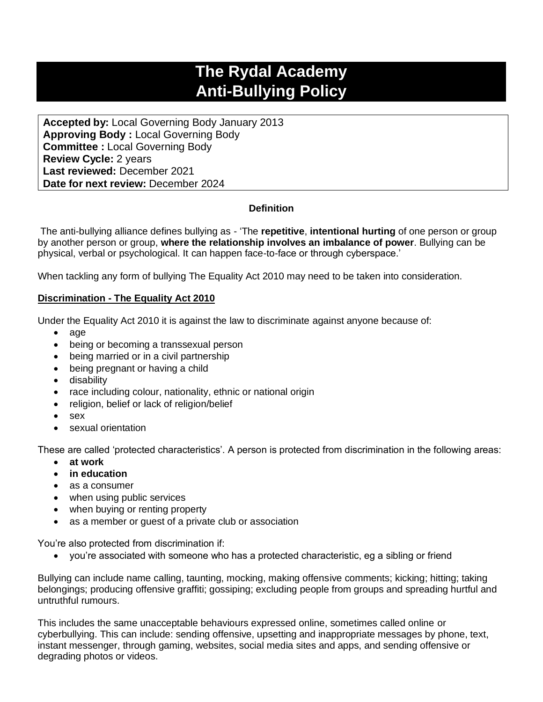# **The Rydal Academy Anti-Bullying Policy**

**Accepted by:** Local Governing Body January 2013 **Approving Body :** Local Governing Body **Committee :** Local Governing Body **Review Cycle:** 2 years **Last reviewed:** December 2021 **Date for next review:** December 2024

# **Definition**

The anti-bullying alliance defines bullying as - 'The **repetitive**, **intentional hurting** of one person or group by another person or group, **where the relationship involves an imbalance of power**. Bullying can be physical, verbal or psychological. It can happen face-to-face or through cyberspace.'

When tackling any form of bullying The Equality Act 2010 may need to be taken into consideration.

# **Discrimination - The Equality Act 2010**

Under the Equality Act 2010 it is against the law to discriminate against anyone because of:

- age
- being or becoming a transsexual person
- being married or in a civil partnership
- being pregnant or having a child
- disability
- race including colour, nationality, ethnic or national origin
- religion, belief or lack of religion/belief
- sex
- sexual orientation

These are called 'protected characteristics'. A person is protected from discrimination in the following areas:

- **at work**
- **in education**
- as a consumer
- when using public services
- when buying or renting property
- as a member or guest of a private club or association

You're also protected from discrimination if:

• you're associated with someone who has a protected characteristic, eg a sibling or friend

Bullying can include name calling, taunting, mocking, making offensive comments; kicking; hitting; taking belongings; producing offensive graffiti; gossiping; excluding people from groups and spreading hurtful and untruthful rumours.

This includes the same unacceptable behaviours expressed online, sometimes called online or cyberbullying. This can include: sending offensive, upsetting and inappropriate messages by phone, text, instant messenger, through gaming, websites, social media sites and apps, and sending offensive or degrading photos or videos.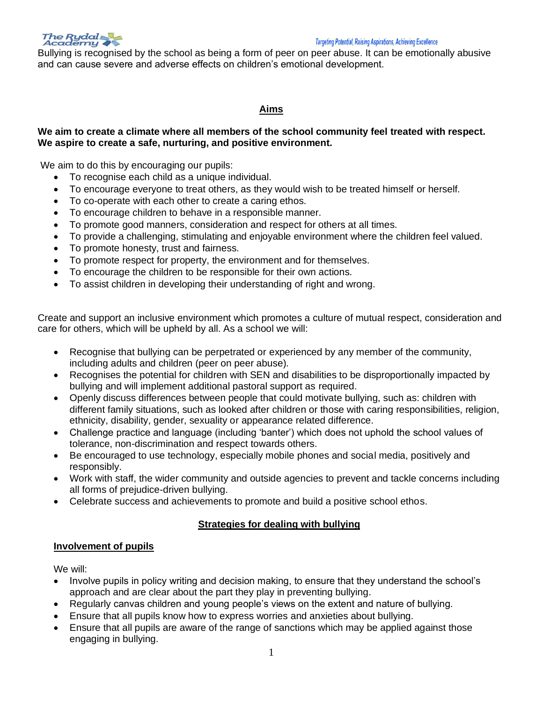

#### **Targeting Potential, Raising Aspirations, Achieving Excellence**

Bullying is recognised by the school as being a form of peer on peer abuse. It can be emotionally abusive and can cause severe and adverse effects on children's emotional development.

# **Aims**

## **We aim to create a climate where all members of the school community feel treated with respect. We aspire to create a safe, nurturing, and positive environment.**

We aim to do this by encouraging our pupils:

- To recognise each child as a unique individual.
- To encourage everyone to treat others, as they would wish to be treated himself or herself.
- To co-operate with each other to create a caring ethos.
- To encourage children to behave in a responsible manner.
- To promote good manners, consideration and respect for others at all times.
- To provide a challenging, stimulating and enjoyable environment where the children feel valued.
- To promote honesty, trust and fairness.
- To promote respect for property, the environment and for themselves.
- To encourage the children to be responsible for their own actions.
- To assist children in developing their understanding of right and wrong.

Create and support an inclusive environment which promotes a culture of mutual respect, consideration and care for others, which will be upheld by all. As a school we will:

- Recognise that bullying can be perpetrated or experienced by any member of the community, including adults and children (peer on peer abuse).
- Recognises the potential for children with SEN and disabilities to be disproportionally impacted by bullying and will implement additional pastoral support as required.
- Openly discuss differences between people that could motivate bullying, such as: children with different family situations, such as looked after children or those with caring responsibilities, religion, ethnicity, disability, gender, sexuality or appearance related difference.
- Challenge practice and language (including 'banter') which does not uphold the school values of tolerance, non-discrimination and respect towards others.
- Be encouraged to use technology, especially mobile phones and social media, positively and responsibly.
- Work with staff, the wider community and outside agencies to prevent and tackle concerns including all forms of prejudice-driven bullying.
- Celebrate success and achievements to promote and build a positive school ethos.

# **Strategies for dealing with bullying**

# **Involvement of pupils**

We will:

- Involve pupils in policy writing and decision making, to ensure that they understand the school's approach and are clear about the part they play in preventing bullying.
- Regularly canvas children and young people's views on the extent and nature of bullying.
- Ensure that all pupils know how to express worries and anxieties about bullying.
- Ensure that all pupils are aware of the range of sanctions which may be applied against those engaging in bullying.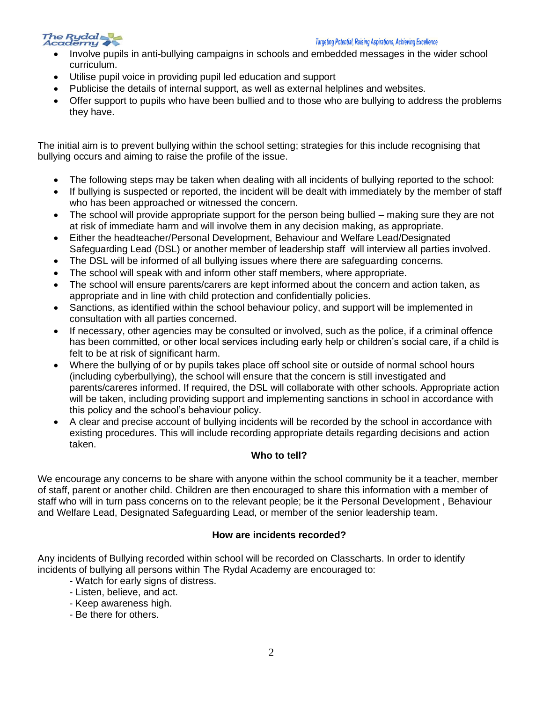

#### **Targeting Potential, Raising Aspirations, Achieving Excellence**

- Involve pupils in anti-bullying campaigns in schools and embedded messages in the wider school curriculum.
- Utilise pupil voice in providing pupil led education and support
- Publicise the details of internal support, as well as external helplines and websites.
- Offer support to pupils who have been bullied and to those who are bullying to address the problems they have.

The initial aim is to prevent bullying within the school setting; strategies for this include recognising that bullying occurs and aiming to raise the profile of the issue.

- The following steps may be taken when dealing with all incidents of bullying reported to the school:
- If bullying is suspected or reported, the incident will be dealt with immediately by the member of staff who has been approached or witnessed the concern.
- The school will provide appropriate support for the person being bullied making sure they are not at risk of immediate harm and will involve them in any decision making, as appropriate.
- Either the headteacher/Personal Development, Behaviour and Welfare Lead/Designated Safeguarding Lead (DSL) or another member of leadership staff will interview all parties involved.
- The DSL will be informed of all bullying issues where there are safeguarding concerns.
- The school will speak with and inform other staff members, where appropriate.
- The school will ensure parents/carers are kept informed about the concern and action taken, as appropriate and in line with child protection and confidentially policies.
- Sanctions, as identified within the school behaviour policy, and support will be implemented in consultation with all parties concerned.
- If necessary, other agencies may be consulted or involved, such as the police, if a criminal offence has been committed, or other local services including early help or children's social care, if a child is felt to be at risk of significant harm.
- Where the bullying of or by pupils takes place off school site or outside of normal school hours (including cyberbullying), the school will ensure that the concern is still investigated and parents/careres informed. If required, the DSL will collaborate with other schools. Appropriate action will be taken, including providing support and implementing sanctions in school in accordance with this policy and the school's behaviour policy.
- A clear and precise account of bullying incidents will be recorded by the school in accordance with existing procedures. This will include recording appropriate details regarding decisions and action taken.

# **Who to tell?**

We encourage any concerns to be share with anyone within the school community be it a teacher, member of staff, parent or another child. Children are then encouraged to share this information with a member of staff who will in turn pass concerns on to the relevant people; be it the Personal Development , Behaviour and Welfare Lead, Designated Safeguarding Lead, or member of the senior leadership team.

# **How are incidents recorded?**

Any incidents of Bullying recorded within school will be recorded on Classcharts. In order to identify incidents of bullying all persons within The Rydal Academy are encouraged to:

- Watch for early signs of distress.
- Listen, believe, and act.
- Keep awareness high.
- Be there for others.